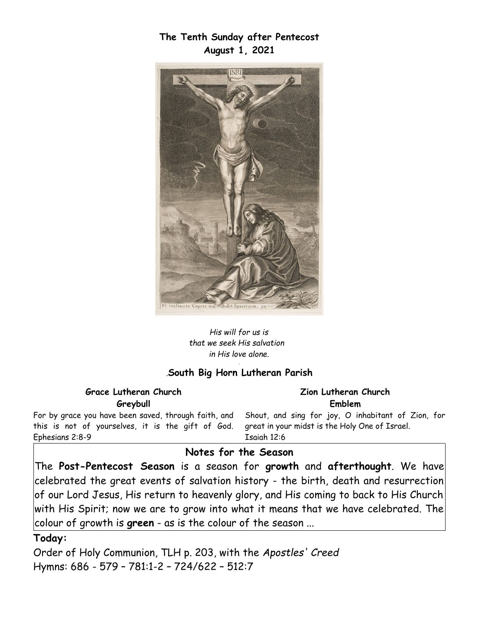**The Tenth Sunday after Pentecost August 1, 2021**



*His will for us is that we seek His salvation in His love alone. .*

#### *.***South Big Horn Lutheran Parish**

#### **Grace Lutheran Church Greybull** For by grace you have been saved, through faith, and this is not of yourselves, it is the gift of God. Ephesians 2:8-9 **Zion Lutheran Church Emblem** Shout, and sing for joy, O inhabitant of Zion, for great in your midst is the Holy One of Israel. Isaiah 12:6

### **Notes for the Season**

The **Post-Pentecost Season** is a season for **growth** and **afterthought**. We have  $|{\sf celebrated}$  the great events of salvation history - the birth, death and resurrection $|$ of our Lord Jesus, His return to heavenly glory, and His coming to back to His Church with His Spirit; now we are to grow into what it means that we have celebrated. The colour of growth is **green** - as is the colour of the season ...

#### **Today:**

Order of Holy Communion, TLH p. 203, with the *Apostles' Creed*  Hymns: 686 - 579 – 781:1-2 – 724/622 – 512:7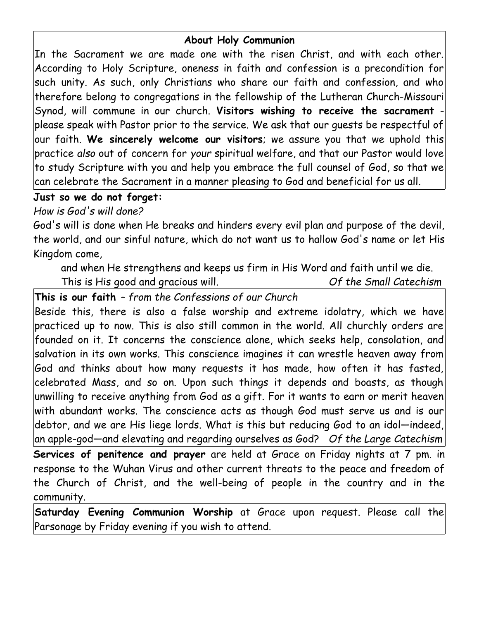#### **About Holy Communion**

In the Sacrament we are made one with the risen Christ, and with each other. According to Holy Scripture, oneness in faith and confession is a precondition for such unity. As such, only Christians who share our faith and confession, and who therefore belong to congregations in the fellowship of the Lutheran Church-Missouri Synod, will commune in our church. **Visitors wishing to receive the sacrament** please speak with Pastor prior to the service. We ask that our guests be respectful of our faith. **We sincerely welcome our visitors**; we assure you that we uphold this practice *also* out of concern for *your* spiritual welfare, and that our Pastor would love to study Scripture with you and help you embrace the full counsel of God, so that we can celebrate the Sacrament in a manner pleasing to God and beneficial for us all.

## **Just so we do not forget:**

### *How is God's will done?*

God's will is done when He breaks and hinders every evil plan and purpose of the devil, the world, and our sinful nature, which do not want us to hallow God's name or let His Kingdom come,

and when He strengthens and keeps us firm in His Word and faith until we die.

This is His good and gracious will. *Of the Small Catechism*

# **This is our faith** *– from the Confessions of our Church*

Beside this, there is also a false worship and extreme idolatry, which we have practiced up to now. This is also still common in the world. All churchly orders are founded on it. It concerns the conscience alone, which seeks help, consolation, and  $|$ salvation in its own works. This conscience imagines it can wrestle heaven away from $|$ God and thinks about how many requests it has made, how often it has fasted, celebrated Mass, and so on. Upon such things it depends and boasts, as though unwilling to receive anything from God as a gift. For it wants to earn or merit heaven with abundant works. The conscience acts as though God must serve us and is our debtor, and we are His liege lords. What is this but reducing God to an idol—indeed, an apple-god—and elevating and regarding ourselves as God? *Of the Large Catechism* **Services of penitence and prayer** are held at Grace on Friday nights at 7 pm. in response to the Wuhan Virus and other current threats to the peace and freedom of the Church of Christ, and the well-being of people in the country and in the

community.

**Saturday Evening Communion Worship** at Grace upon request. Please call the Parsonage by Friday evening if you wish to attend.